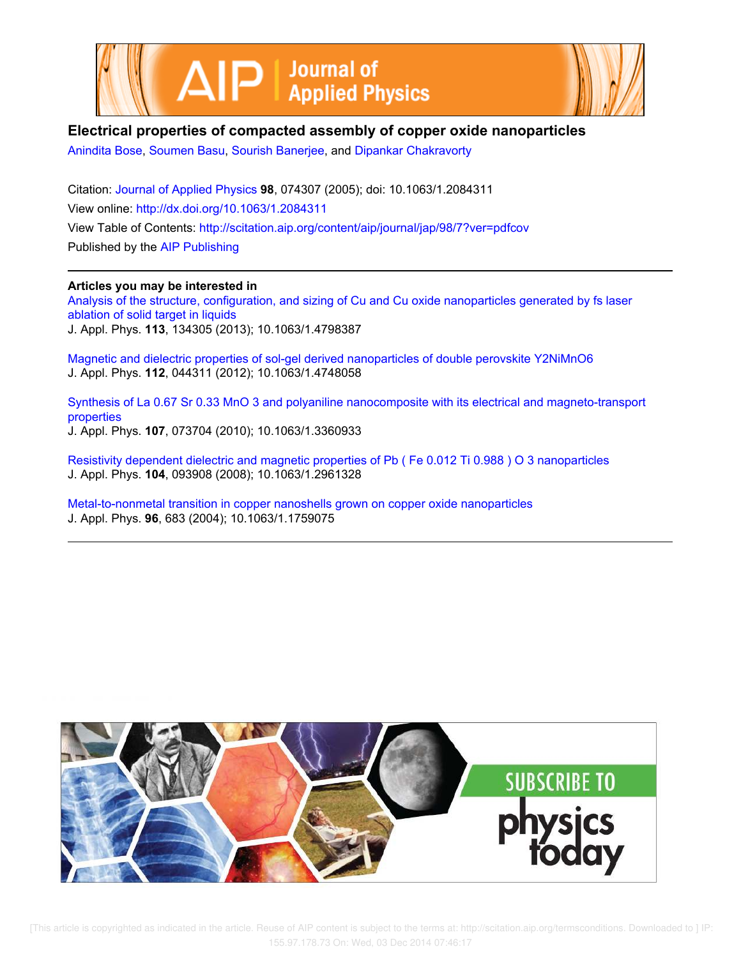



## **Electrical properties of compacted assembly of copper oxide nanoparticles**

Anindita Bose, Soumen Basu, Sourish Banerjee, and Dipankar Chakravorty

Citation: Journal of Applied Physics **98**, 074307 (2005); doi: 10.1063/1.2084311 View online: http://dx.doi.org/10.1063/1.2084311 View Table of Contents: http://scitation.aip.org/content/aip/journal/jap/98/7?ver=pdfcov Published by the AIP Publishing

**Articles you may be interested in** Analysis of the structure, configuration, and sizing of Cu and Cu oxide nanoparticles generated by fs laser ablation of solid target in liquids J. Appl. Phys. **113**, 134305 (2013); 10.1063/1.4798387

Magnetic and dielectric properties of sol-gel derived nanoparticles of double perovskite Y2NiMnO6 J. Appl. Phys. **112**, 044311 (2012); 10.1063/1.4748058

Synthesis of La 0.67 Sr 0.33 MnO 3 and polyaniline nanocomposite with its electrical and magneto-transport properties J. Appl. Phys. **107**, 073704 (2010); 10.1063/1.3360933

Resistivity dependent dielectric and magnetic properties of Pb ( Fe 0.012 Ti 0.988 ) O 3 nanoparticles J. Appl. Phys. **104**, 093908 (2008); 10.1063/1.2961328

Metal-to-nonmetal transition in copper nanoshells grown on copper oxide nanoparticles J. Appl. Phys. **96**, 683 (2004); 10.1063/1.1759075



 [This article is copyrighted as indicated in the article. Reuse of AIP content is subject to the terms at: http://scitation.aip.org/termsconditions. Downloaded to ] IP: 155.97.178.73 On: Wed, 03 Dec 2014 07:46:17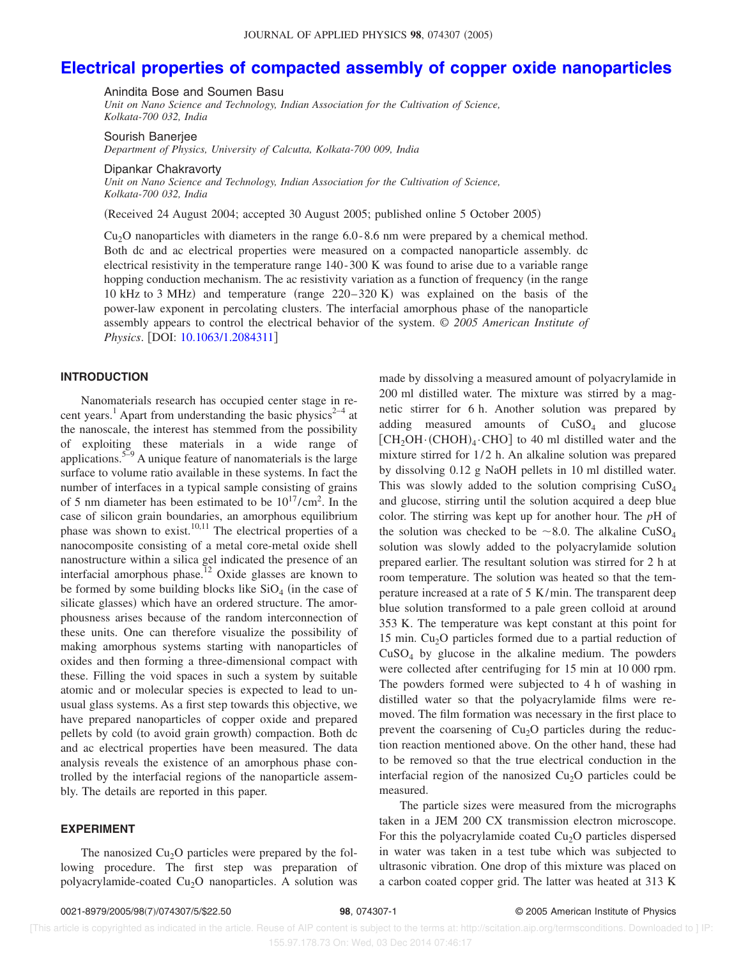# **Electrical properties of compacted assembly of copper oxide nanoparticles**

Anindita Bose and Soumen Basu

*Unit on Nano Science and Technology, Indian Association for the Cultivation of Science, Kolkata-700 032, India*

Sourish Banerjee

*Department of Physics, University of Calcutta, Kolkata-700 009, India*

Dipankar Chakravorty

*Unit on Nano Science and Technology, Indian Association for the Cultivation of Science, Kolkata-700 032, India*

Received 24 August 2004; accepted 30 August 2005; published online 5 October 2005-

 $Cu<sub>2</sub>O$  nanoparticles with diameters in the range 6.0-8.6 nm were prepared by a chemical method. Both dc and ac electrical properties were measured on a compacted nanoparticle assembly. dc electrical resistivity in the temperature range 140 - 300 K was found to arise due to a variable range hopping conduction mechanism. The ac resistivity variation as a function of frequency (in the range 10 kHz to 3 MHz) and temperature (range  $220-320$  K) was explained on the basis of the power-law exponent in percolating clusters. The interfacial amorphous phase of the nanoparticle assembly appears to control the electrical behavior of the system. © *2005 American Institute of Physics.* [DOI: 10.1063/1.2084311]

#### **INTRODUCTION**

Nanomaterials research has occupied center stage in recent years.<sup>1</sup> Apart from understanding the basic physics<sup>2–4</sup> at the nanoscale, the interest has stemmed from the possibility of exploiting these materials in a wide range of applications.<sup>5–9</sup> A unique feature of nanomaterials is the large surface to volume ratio available in these systems. In fact the number of interfaces in a typical sample consisting of grains of 5 nm diameter has been estimated to be  $10^{17}/\text{cm}^2$ . In the case of silicon grain boundaries, an amorphous equilibrium phase was shown to exist.<sup>10,11</sup> The electrical properties of a nanocomposite consisting of a metal core-metal oxide shell nanostructure within a silica gel indicated the presence of an interfacial amorphous phase.<sup>12</sup> Oxide glasses are known to be formed by some building blocks like  $SiO<sub>4</sub>$  (in the case of silicate glasses) which have an ordered structure. The amorphousness arises because of the random interconnection of these units. One can therefore visualize the possibility of making amorphous systems starting with nanoparticles of oxides and then forming a three-dimensional compact with these. Filling the void spaces in such a system by suitable atomic and or molecular species is expected to lead to unusual glass systems. As a first step towards this objective, we have prepared nanoparticles of copper oxide and prepared pellets by cold (to avoid grain growth) compaction. Both dc and ac electrical properties have been measured. The data analysis reveals the existence of an amorphous phase controlled by the interfacial regions of the nanoparticle assembly. The details are reported in this paper.

#### **EXPERIMENT**

The nanosized  $Cu<sub>2</sub>O$  particles were prepared by the following procedure. The first step was preparation of polyacrylamide-coated  $Cu<sub>2</sub>O$  nanoparticles. A solution was

made by dissolving a measured amount of polyacrylamide in 200 ml distilled water. The mixture was stirred by a magnetic stirrer for 6 h. Another solution was prepared by adding measured amounts of  $CuSO<sub>4</sub>$  and glucose  $[CH_2OH \cdot (CHOH)_4 \cdot CHO]$  to 40 ml distilled water and the mixture stirred for  $1/2$  h. An alkaline solution was prepared by dissolving 0.12 g NaOH pellets in 10 ml distilled water. This was slowly added to the solution comprising CuSO<sup>4</sup> and glucose, stirring until the solution acquired a deep blue color. The stirring was kept up for another hour. The *p*H of the solution was checked to be  $\sim$ 8.0. The alkaline CuSO<sub>4</sub> solution was slowly added to the polyacrylamide solution prepared earlier. The resultant solution was stirred for 2 h at room temperature. The solution was heated so that the temperature increased at a rate of 5 K/min. The transparent deep blue solution transformed to a pale green colloid at around 353 K. The temperature was kept constant at this point for 15 min.  $Cu<sub>2</sub>O$  particles formed due to a partial reduction of  $CuSO<sub>4</sub>$  by glucose in the alkaline medium. The powders were collected after centrifuging for 15 min at 10 000 rpm. The powders formed were subjected to 4 h of washing in distilled water so that the polyacrylamide films were removed. The film formation was necessary in the first place to prevent the coarsening of  $Cu<sub>2</sub>O$  particles during the reduction reaction mentioned above. On the other hand, these had to be removed so that the true electrical conduction in the interfacial region of the nanosized  $Cu<sub>2</sub>O$  particles could be measured.

The particle sizes were measured from the micrographs taken in a JEM 200 CX transmission electron microscope. For this the polyacrylamide coated  $Cu<sub>2</sub>O$  particles dispersed in water was taken in a test tube which was subjected to ultrasonic vibration. One drop of this mixture was placed on a carbon coated copper grid. The latter was heated at 313 K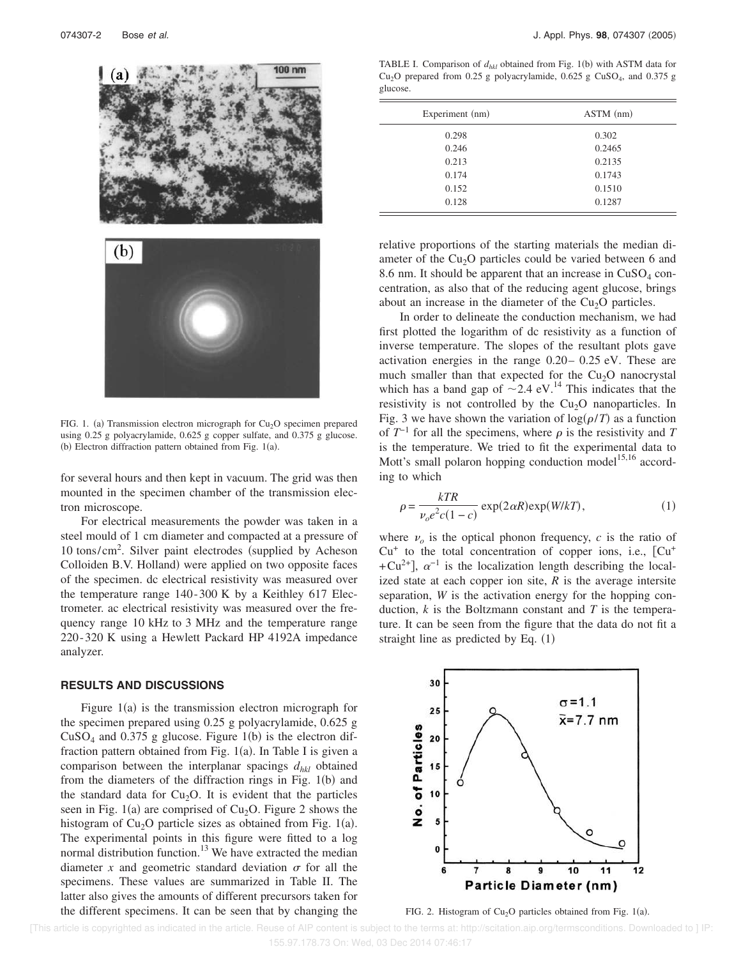

FIG. 1. (a) Transmission electron micrograph for  $Cu<sub>2</sub>O$  specimen prepared using 0.25 g polyacrylamide, 0.625 g copper sulfate, and 0.375 g glucose.  $(b)$  Electron diffraction pattern obtained from Fig. 1(a).

for several hours and then kept in vacuum. The grid was then mounted in the specimen chamber of the transmission electron microscope.

For electrical measurements the powder was taken in a steel mould of 1 cm diameter and compacted at a pressure of 10 tons/cm<sup>2</sup>. Silver paint electrodes (supplied by Acheson Colloiden B.V. Holland) were applied on two opposite faces of the specimen. dc electrical resistivity was measured over the temperature range 140 - 300 K by a Keithley 617 Electrometer. ac electrical resistivity was measured over the frequency range 10 kHz to 3 MHz and the temperature range 220 - 320 K using a Hewlett Packard HP 4192A impedance analyzer.

### **RESULTS AND DISCUSSIONS**

Figure  $1(a)$  is the transmission electron micrograph for the specimen prepared using 0.25 g polyacrylamide, 0.625 g  $CuSO<sub>4</sub>$  and 0.375 g glucose. Figure 1(b) is the electron diffraction pattern obtained from Fig.  $1(a)$ . In Table I is given a comparison between the interplanar spacings  $d_{hkl}$  obtained from the diameters of the diffraction rings in Fig.  $1(b)$  and the standard data for  $Cu<sub>2</sub>O$ . It is evident that the particles seen in Fig.  $1(a)$  are comprised of Cu<sub>2</sub>O. Figure 2 shows the histogram of  $Cu<sub>2</sub>O$  particle sizes as obtained from Fig. 1(a). The experimental points in this figure were fitted to a log normal distribution function.<sup>13</sup> We have extracted the median diameter x and geometric standard deviation  $\sigma$  for all the specimens. These values are summarized in Table II. The latter also gives the amounts of different precursors taken for the different specimens. It can be seen that by changing the

TABLE I. Comparison of  $d_{hkl}$  obtained from Fig. 1(b) with ASTM data for Cu<sub>2</sub>O prepared from 0.25 g polyacrylamide,  $0.625$  g CuSO<sub>4</sub>, and 0.375 g glucose.

| Experiment (nm) | $ASTM$ (nm) |
|-----------------|-------------|
| 0.298           | 0.302       |
| 0.246           | 0.2465      |
| 0.213           | 0.2135      |
| 0.174           | 0.1743      |
| 0.152           | 0.1510      |
| 0.128           | 0.1287      |

relative proportions of the starting materials the median diameter of the Cu<sub>2</sub>O particles could be varied between 6 and 8.6 nm. It should be apparent that an increase in  $CuSO<sub>4</sub>$  concentration, as also that of the reducing agent glucose, brings about an increase in the diameter of the  $Cu<sub>2</sub>O$  particles.

In order to delineate the conduction mechanism, we had first plotted the logarithm of dc resistivity as a function of inverse temperature. The slopes of the resultant plots gave activation energies in the range 0.20– 0.25 eV. These are much smaller than that expected for the  $Cu<sub>2</sub>O$  nanocrystal which has a band gap of  $\sim$  2.4 eV.<sup>14</sup> This indicates that the resistivity is not controlled by the  $Cu<sub>2</sub>O$  nanoparticles. In Fig. 3 we have shown the variation of  $log(\rho/T)$  as a function of  $T^{-1}$  for all the specimens, where  $\rho$  is the resistivity and *T* is the temperature. We tried to fit the experimental data to Mott's small polaron hopping conduction model<sup>15,16</sup> according to which

$$
\rho = \frac{kTR}{\nu_o e^2 c (1 - c)} \exp(2 \alpha R) \exp(W/kT),\tag{1}
$$

where  $\nu$ <sub>o</sub> is the optical phonon frequency,  $c$  is the ratio of Cu<sup>+</sup> to the total concentration of copper ions, i.e., [Cu<sup>+</sup> +Cu<sup>2+</sup>],  $\alpha^{-1}$  is the localization length describing the localized state at each copper ion site, *R* is the average intersite separation, *W* is the activation energy for the hopping conduction, *k* is the Boltzmann constant and *T* is the temperature. It can be seen from the figure that the data do not fit a straight line as predicted by Eq.  $(1)$ 



FIG. 2. Histogram of  $Cu<sub>2</sub>O$  particles obtained from Fig. 1(a).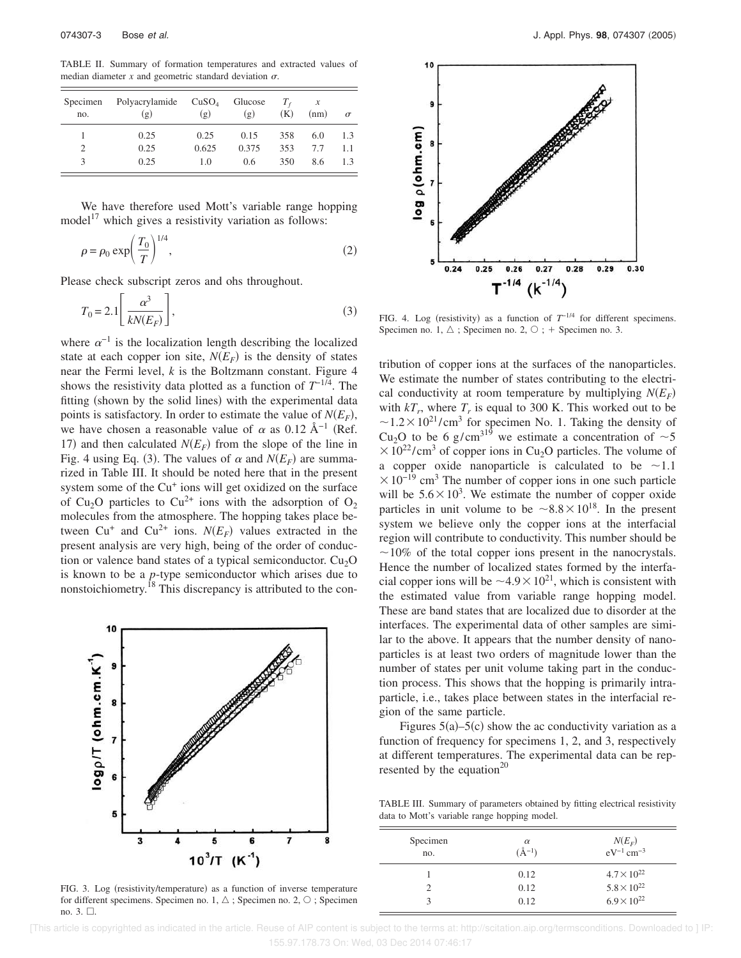TABLE II. Summary of formation temperatures and extracted values of median diameter  $x$  and geometric standard deviation  $\sigma$ .

| Specimen<br>no. | Polyacrylamide<br>(g) | CuSO <sub>4</sub><br>(g) | Glucose<br>(g) | (K) | (nm) | $\sigma$ |
|-----------------|-----------------------|--------------------------|----------------|-----|------|----------|
|                 | 0.25                  | 0.25                     | 0.15           | 358 | 6.0  | 1.3      |
| 2               | 0.25                  | 0.625                    | 0.375          | 353 | 7.7  | 1.1      |
| 3               | 0.25                  | 1.0                      | 0.6            | 350 | 8.6  | 13       |

We have therefore used Mott's variable range hopping model<sup>17</sup> which gives a resistivity variation as follows:

$$
\rho = \rho_0 \exp\left(\frac{T_0}{T}\right)^{1/4},\tag{2}
$$

Please check subscript zeros and ohs throughout.

$$
T_0 = 2.1 \left[ \frac{\alpha^3}{kN(E_F)} \right],\tag{3}
$$

where  $\alpha^{-1}$  is the localization length describing the localized state at each copper ion site,  $N(E_F)$  is the density of states near the Fermi level, *k* is the Boltzmann constant. Figure 4 shows the resistivity data plotted as a function of  $T^{-1/4}$ . The fitting (shown by the solid lines) with the experimental data points is satisfactory. In order to estimate the value of  $N(E_F)$ , we have chosen a reasonable value of  $\alpha$  as 0.12 Å<sup>-1</sup> (Ref. 17) and then calculated  $N(E_F)$  from the slope of the line in Fig. 4 using Eq. (3). The values of  $\alpha$  and  $N(E_F)$  are summarized in Table III. It should be noted here that in the present system some of the Cu<sup>+</sup> ions will get oxidized on the surface of Cu<sub>2</sub>O particles to Cu<sup>2+</sup> ions with the adsorption of O<sub>2</sub> molecules from the atmosphere. The hopping takes place between  $Cu^+$  and  $Cu^{2+}$  ions.  $N(E_F)$  values extracted in the present analysis are very high, being of the order of conduction or valence band states of a typical semiconductor.  $Cu<sub>2</sub>O$ is known to be a *p*-type semiconductor which arises due to nonstoichiometry.<sup>18</sup> This discrepancy is attributed to the con-



FIG. 3. Log (resistivity/temperature) as a function of inverse temperature for different specimens. Specimen no. 1,  $\Delta$  ; Specimen no. 2,  $\circ$  ; Specimen no.  $3. \square$ .



FIG. 4. Log (resistivity) as a function of  $T^{-1/4}$  for different specimens. Specimen no. 1,  $\triangle$ ; Specimen no. 2,  $\circ$ ; + Specimen no. 3.

tribution of copper ions at the surfaces of the nanoparticles. We estimate the number of states contributing to the electrical conductivity at room temperature by multiplying  $N(E_F)$ with  $kT_r$ , where  $T_r$  is equal to 300 K. This worked out to be  $\sim$ 1.2 × 10<sup>21</sup>/cm<sup>3</sup> for specimen No. 1. Taking the density of Cu<sub>2</sub>O to be 6 g/cm<sup>319</sup> we estimate a concentration of  $\sim$  5  $\times 10^{22}$ /cm<sup>3</sup> of copper ions in Cu<sub>2</sub>O particles. The volume of a copper oxide nanoparticle is calculated to be  $\sim$ 1.1  $\times 10^{-19}$  cm<sup>3</sup> The number of copper ions in one such particle will be  $5.6 \times 10^3$ . We estimate the number of copper oxide particles in unit volume to be  $\sim 8.8 \times 10^{18}$ . In the present system we believe only the copper ions at the interfacial region will contribute to conductivity. This number should be  $\sim$ 10% of the total copper ions present in the nanocrystals. Hence the number of localized states formed by the interfacial copper ions will be  $\sim$  4.9  $\times$  10<sup>21</sup>, which is consistent with the estimated value from variable range hopping model. These are band states that are localized due to disorder at the interfaces. The experimental data of other samples are similar to the above. It appears that the number density of nanoparticles is at least two orders of magnitude lower than the number of states per unit volume taking part in the conduction process. This shows that the hopping is primarily intraparticle, i.e., takes place between states in the interfacial region of the same particle.

Figures  $5(a)$ – $5(c)$  show the ac conductivity variation as a function of frequency for specimens 1, 2, and 3, respectively at different temperatures. The experimental data can be represented by the equation<sup>20</sup>

TABLE III. Summary of parameters obtained by fitting electrical resistivity data to Mott's variable range hopping model.

| Specimen<br>no. | $\alpha$<br>$(\AA^{-1})$ | $N(E_F)$<br>$eV^{-1}$ cm <sup>-3</sup> |
|-----------------|--------------------------|----------------------------------------|
|                 | 0.12                     | $4.7 \times 10^{22}$                   |
|                 | 0.12                     | $5.8 \times 10^{22}$                   |
|                 | 0.12                     | $6.9 \times 10^{22}$                   |

 [This article is copyrighted as indicated in the article. Reuse of AIP content is subject to the terms at: http://scitation.aip.org/termsconditions. Downloaded to ] IP: 155.97.178.73 On: Wed, 03 Dec 2014 07:46:17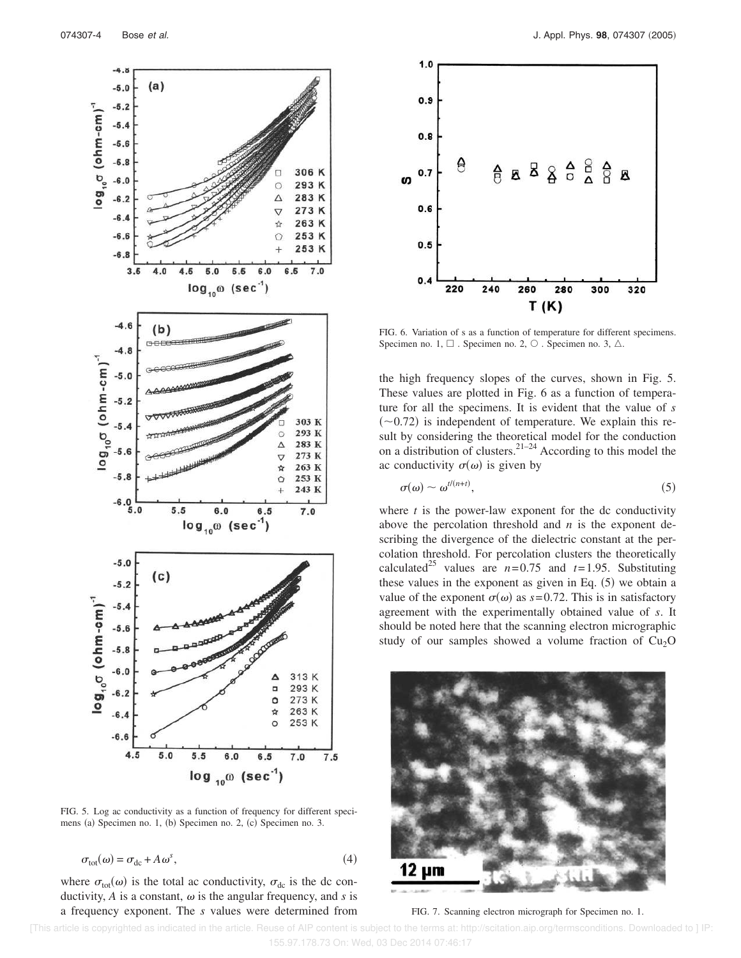

FIG. 5. Log ac conductivity as a function of frequency for different specimens (a) Specimen no. 1, (b) Specimen no. 2, (c) Specimen no. 3.

$$
\sigma_{\text{tot}}(\omega) = \sigma_{\text{dc}} + A\,\omega^s,\tag{4}
$$

where  $\sigma_{\text{tot}}(\omega)$  is the total ac conductivity,  $\sigma_{\text{dc}}$  is the dc conductivity,  $A$  is a constant,  $\omega$  is the angular frequency, and  $s$  is a frequency exponent. The *s* values were determined from



FIG. 6. Variation of s as a function of temperature for different specimens. Specimen no. 1,  $\Box$ . Specimen no. 2,  $\odot$  . Specimen no. 3,  $\triangle$ .

the high frequency slopes of the curves, shown in Fig. 5. These values are plotted in Fig. 6 as a function of temperature for all the specimens. It is evident that the value of *s*  $(\sim 0.72)$  is independent of temperature. We explain this result by considering the theoretical model for the conduction on a distribution of clusters.<sup>21–24</sup> According to this model the ac conductivity  $\sigma(\omega)$  is given by

$$
\sigma(\omega) \sim \omega^{t/(n+t)},\tag{5}
$$

where  $t$  is the power-law exponent for the dc conductivity above the percolation threshold and *n* is the exponent describing the divergence of the dielectric constant at the percolation threshold. For percolation clusters the theoretically calculated<sup>25</sup> values are  $n=0.75$  and  $t=1.95$ . Substituting these values in the exponent as given in Eq.  $(5)$  we obtain a value of the exponent  $\sigma(\omega)$  as  $s = 0.72$ . This is in satisfactory agreement with the experimentally obtained value of *s*. It should be noted here that the scanning electron micrographic study of our samples showed a volume fraction of  $Cu<sub>2</sub>O$ 



FIG. 7. Scanning electron micrograph for Specimen no. 1.

 [This article is copyrighted as indicated in the article. Reuse of AIP content is subject to the terms at: http://scitation.aip.org/termsconditions. Downloaded to ] IP: 155.97.178.73 On: Wed, 03 Dec 2014 07:46:17